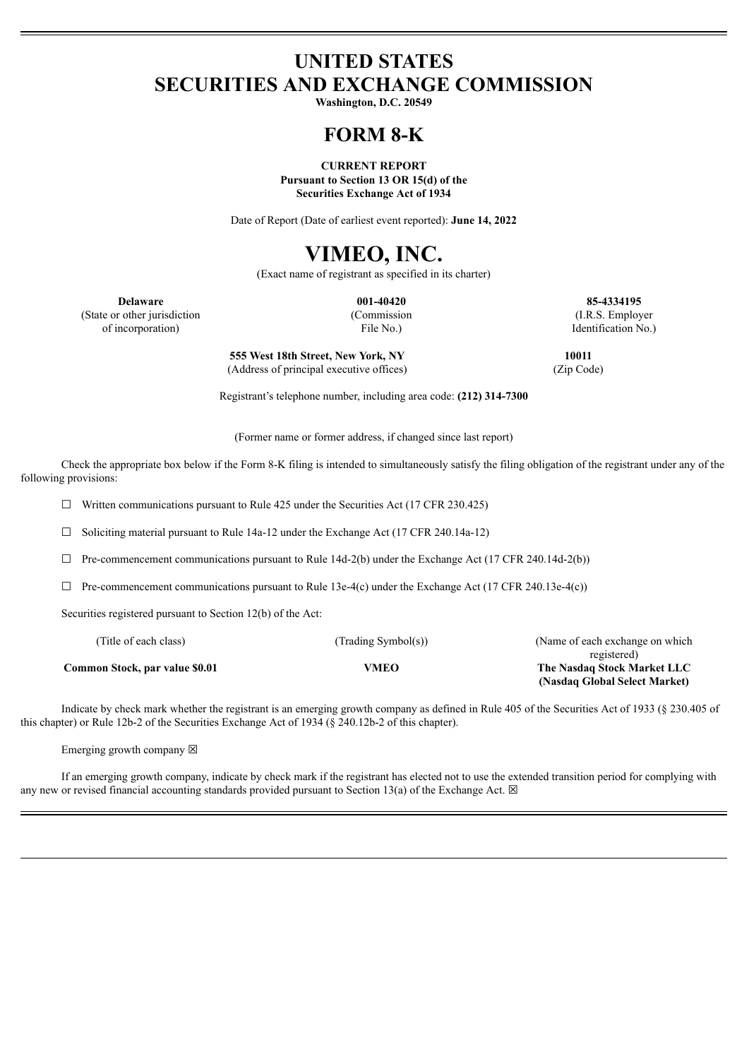## **UNITED STATES SECURITIES AND EXCHANGE COMMISSION**

**Washington, D.C. 20549**

## **FORM 8-K**

**CURRENT REPORT Pursuant to Section 13 OR 15(d) of the**

**Securities Exchange Act of 1934**

Date of Report (Date of earliest event reported): **June 14, 2022**

# **VIMEO, INC.**

(Exact name of registrant as specified in its charter)

**Delaware 001-40420 85-4334195** (State or other jurisdiction (Commission (I.R.S. Employer of incorporation) File No.) Identification No.)

**555 West 18th Street, New York, NY 10011** (Address of principal executive offices) (Zip Code)

Registrant's telephone number, including area code: **(212) 314-7300**

(Former name or former address, if changed since last report)

Check the appropriate box below if the Form 8-K filing is intended to simultaneously satisfy the filing obligation of the registrant under any of the following provisions:

 $\Box$  Written communications pursuant to Rule 425 under the Securities Act (17 CFR 230.425)

☐ Soliciting material pursuant to Rule 14a-12 under the Exchange Act (17 CFR 240.14a-12)

 $\Box$  Pre-commencement communications pursuant to Rule 14d-2(b) under the Exchange Act (17 CFR 240.14d-2(b))

 $\Box$  Pre-commencement communications pursuant to Rule 13e-4(c) under the Exchange Act (17 CFR 240.13e-4(c))

Securities registered pursuant to Section 12(b) of the Act:

| (Title of each class)          | (Trading Symbol(s)) | (Name of each exchange on which) |
|--------------------------------|---------------------|----------------------------------|
|                                |                     | registered)                      |
| Common Stock, par value \$0.01 | VMEO                | The Nasdaq Stock Market LLC      |
|                                |                     | (Nasdaq Global Select Market)    |

Indicate by check mark whether the registrant is an emerging growth company as defined in Rule 405 of the Securities Act of 1933 (§ 230.405 of this chapter) or Rule 12b-2 of the Securities Exchange Act of 1934 (§ 240.12b-2 of this chapter).

Emerging growth company  $\boxtimes$ 

If an emerging growth company, indicate by check mark if the registrant has elected not to use the extended transition period for complying with any new or revised financial accounting standards provided pursuant to Section 13(a) of the Exchange Act.  $\boxtimes$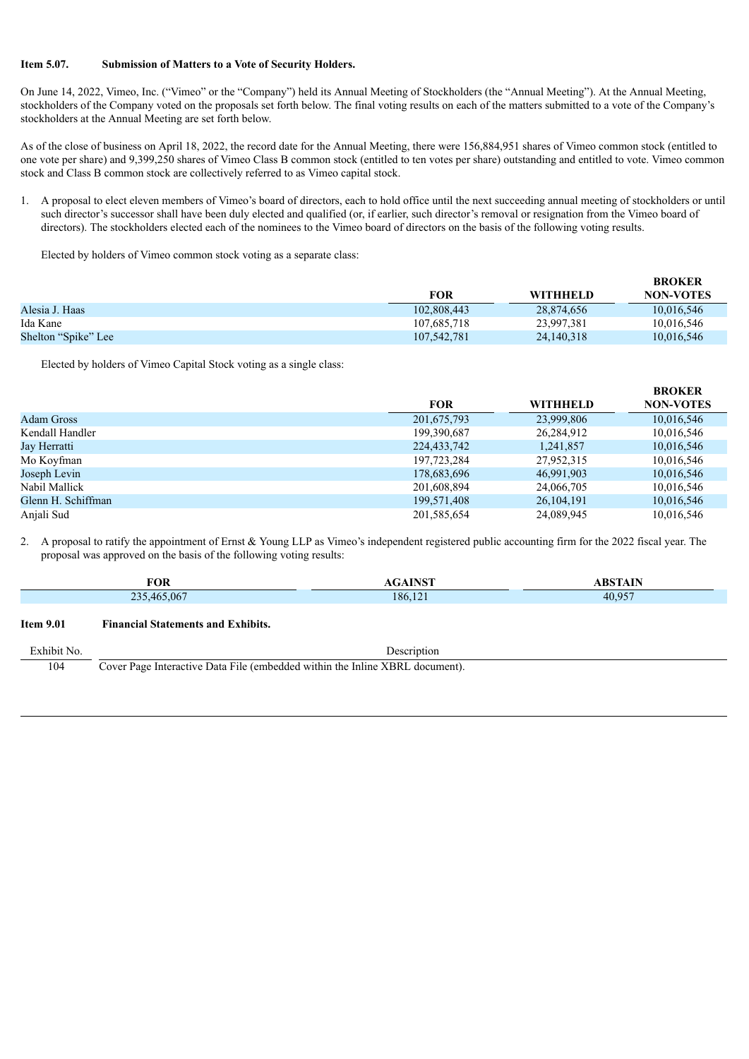#### **Item 5.07. Submission of Matters to a Vote of Security Holders.**

On June 14, 2022, Vimeo, Inc. ("Vimeo" or the "Company") held its Annual Meeting of Stockholders (the "Annual Meeting"). At the Annual Meeting, stockholders of the Company voted on the proposals set forth below. The final voting results on each of the matters submitted to a vote of the Company's stockholders at the Annual Meeting are set forth below.

As of the close of business on April 18, 2022, the record date for the Annual Meeting, there were 156,884,951 shares of Vimeo common stock (entitled to one vote per share) and 9,399,250 shares of Vimeo Class B common stock (entitled to ten votes per share) outstanding and entitled to vote. Vimeo common stock and Class B common stock are collectively referred to as Vimeo capital stock.

1. A proposal to elect eleven members of Vimeo's board of directors, each to hold office until the next succeeding annual meeting of stockholders or until such director's successor shall have been duly elected and qualified (or, if earlier, such director's removal or resignation from the Vimeo board of directors). The stockholders elected each of the nominees to the Vimeo board of directors on the basis of the following voting results.

Elected by holders of Vimeo common stock voting as a separate class:

|                     |             |            | <b>BROKER</b>    |
|---------------------|-------------|------------|------------------|
|                     | <b>FOR</b>  | WITHHELD   | <b>NON-VOTES</b> |
| Alesia J. Haas      | 102,808,443 | 28,874,656 | 10,016,546       |
| Ida Kane            | 107,685,718 | 23,997,381 | 10,016,546       |
| Shelton "Spike" Lee | 107,542,781 | 24,140,318 | 10,016,546       |

Elected by holders of Vimeo Capital Stock voting as a single class:

|                    |             |                 | <b>BROKER</b>    |
|--------------------|-------------|-----------------|------------------|
|                    | <b>FOR</b>  | <b>WITHHELD</b> | <b>NON-VOTES</b> |
| <b>Adam Gross</b>  | 201,675,793 | 23,999,806      | 10,016,546       |
| Kendall Handler    | 199,390,687 | 26,284,912      | 10,016,546       |
| Jay Herratti       | 224,433,742 | 1,241,857       | 10,016,546       |
| Mo Koyfman         | 197,723,284 | 27,952,315      | 10,016,546       |
| Joseph Levin       | 178,683,696 | 46.991.903      | 10,016,546       |
| Nabil Mallick      | 201,608,894 | 24,066,705      | 10,016,546       |
| Glenn H. Schiffman | 199,571,408 | 26, 104, 191    | 10,016,546       |
| Anjali Sud         | 201,585,654 | 24,089,945      | 10,016,546       |

2. A proposal to ratify the appointment of Ernst & Young LLP as Vimeo's independent registered public accounting firm for the 2022 fiscal year. The proposal was approved on the basis of the following voting results:

|                  | <b>FOR</b>                                                                   | <b>AGAINST</b> | <b>ABSTAIN</b> |  |  |
|------------------|------------------------------------------------------------------------------|----------------|----------------|--|--|
|                  | 235,465,067                                                                  | 186,121        | 40,957         |  |  |
| <b>Item 9.01</b> | <b>Financial Statements and Exhibits.</b>                                    |                |                |  |  |
| Exhibit No.      |                                                                              | Description    |                |  |  |
| 104              | Cover Page Interactive Data File (embedded within the Inline XBRL document). |                |                |  |  |